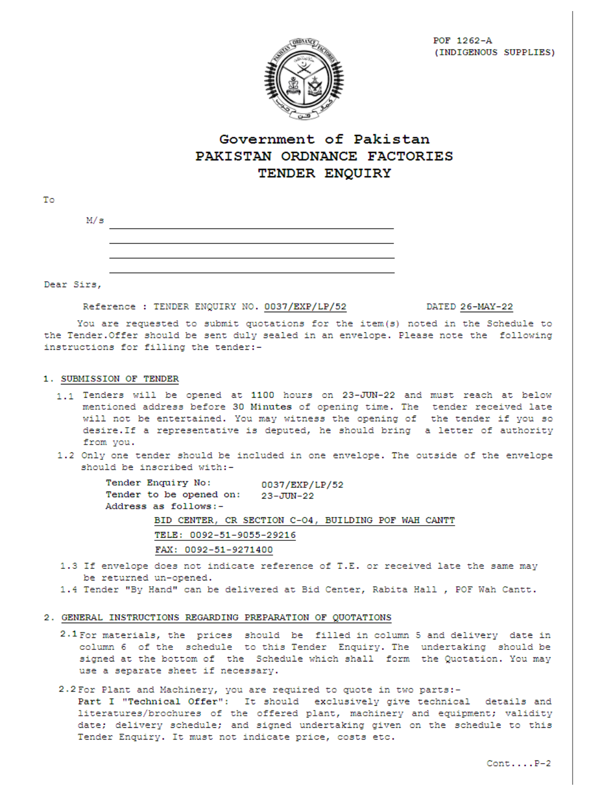

## Government of Pakistan PAKISTAN ORDNANCE FACTORIES TENDER ENQUIRY

| M/s        |                                                                                        |                 |
|------------|----------------------------------------------------------------------------------------|-----------------|
|            |                                                                                        |                 |
|            |                                                                                        |                 |
|            |                                                                                        |                 |
| Dear Sirs, |                                                                                        |                 |
|            | Reference : TENDER ENQUIRY NO. 0037/EXP/LP/52                                          | DATED 26-MAY-22 |
|            | You are requested to submit quotations for the item(s) noted in the Schedule to        |                 |
|            | the Tender. Offer should be sent duly sealed in an envelope. Please note the following |                 |

### 1. SUBMISSION OF TENDER

instructions for filling the tender:-

- 1.1 Tenders will be opened at 1100 hours on 23-JUN-22 and must reach at below mentioned address before 30 Minutes of opening time. The tender received late will not be entertained. You may witness the opening of the tender if you so desire. If a representative is deputed, he should bring a letter of authority from you.
- 1.2 Only one tender should be included in one envelope. The outside of the envelope should be inscribed with:-

Tender Enquiry No: 0037/EXP/LP/52 Tender to be opened on: 23-JUN-22 Address as follows:-BID CENTER, CR SECTION C-04, BUILDING POF WAH CANTT TELE: 0092-51-9055-29216 FAX: 0092-51-9271400

- 1.3 If envelope does not indicate reference of T.E. or received late the same may be returned un-opened.
- 1.4 Tender "By Hand" can be delivered at Bid Center, Rabita Hall , POF Wah Cantt.

#### 2. GENERAL INSTRUCTIONS REGARDING PREPARATION OF QUOTATIONS

- 2.1 For materials, the prices should be filled in column 5 and delivery date in column 6 of the schedule to this Tender Enquiry. The undertaking should be signed at the bottom of the Schedule which shall form the Quotation. You may use a separate sheet if necessary.
- 2.2 For Plant and Machinery, you are required to quote in two parts:-

Part I "Technical Offer": It should exclusively give technical details and literatures/brochures of the offered plant, machinery and equipment; validity date; delivery schedule; and signed undertaking given on the schedule to this Tender Enquiry. It must not indicate price, costs etc.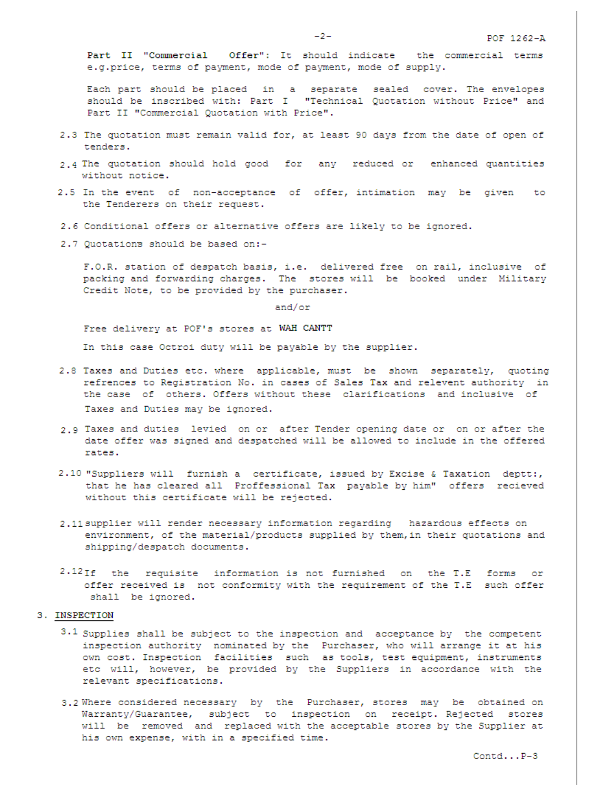Part II "Commercial Offer": It should indicate the commercial terms e.g.price, terms of payment, mode of payment, mode of supply.

Each part should be placed in a separate sealed cover. The envelopes should be inscribed with: Part I "Technical Quotation without Price" and Part II "Commercial Quotation with Price".

- 2.3 The quotation must remain valid for, at least 90 days from the date of open of tenders.
- 2.4 The quotation should hold good for any reduced or enhanced quantities without notice.
- 2.5 In the event of non-acceptance of offer, intimation may be given to the Tenderers on their request.
- 2.6 Conditional offers or alternative offers are likely to be ignored.
- 2.7 Quotations should be based on:-

F.O.R. station of despatch basis, i.e. delivered free on rail, inclusive of packing and forwarding charges. The stores will be booked under Military Credit Note, to be provided by the purchaser.

and/or

Free delivery at POF's stores at WAH CANTT

In this case Octroi duty will be payable by the supplier.

- 2.8 Taxes and Duties etc. where applicable, must be shown separately, quoting refrences to Registration No. in cases of Sales Tax and relevent authority in the case of others. Offers without these clarifications and inclusive of Taxes and Duties may be ignored.
- 2.9 Taxes and duties levied on or after Tender opening date or on or after the date offer was signed and despatched will be allowed to include in the offered rates.
- 2.10 "Suppliers will furnish a certificate, issued by Excise & Taxation deptt:, that he has cleared all Proffessional Tax payable by him" offers recieved without this certificate will be rejected.
- 2.11 supplier will render necessary information regarding hazardous effects on environment, of the material/products supplied by them, in their quotations and shipping/despatch documents.
- $2.12$ If the requisite information is not furnished on the T.E forms or offer received is not conformity with the requirement of the T.E such offer shall be ignored.

#### 3. INSPECTION

- $3.1$  Supplies shall be subject to the inspection and acceptance by the competent inspection authority nominated by the Purchaser, who will arrange it at his own cost. Inspection facilities such as tools, test equipment, instruments etc will, however, be provided by the Suppliers in accordance with the relevant specifications.
- 3.2 Where considered necessary by the Purchaser, stores may be obtained on Warranty/Guarantee, subject to inspection on receipt. Rejected stores will be removed and replaced with the acceptable stores by the Supplier at his own expense, with in a specified time.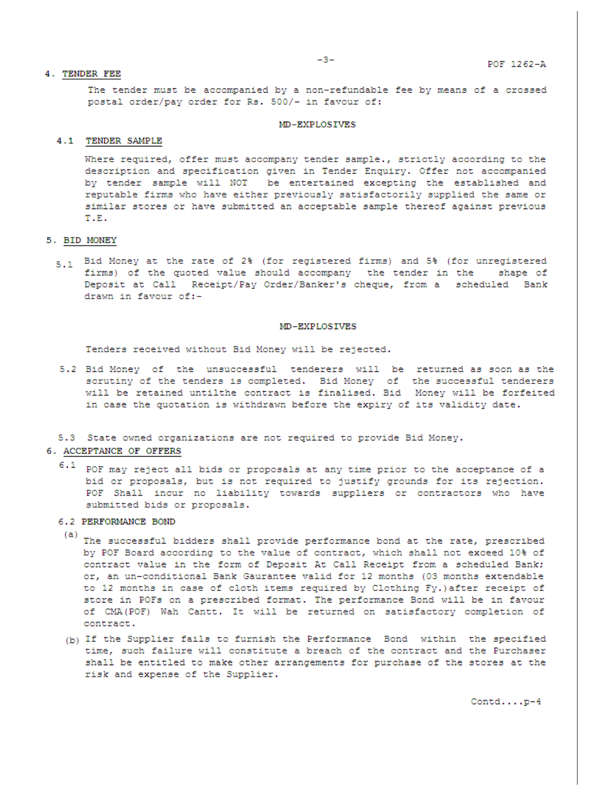#### 4. TENDER FEE

The tender must be accompanied by a non-refundable fee by means of a crossed postal order/pay order for Rs. 500/- in favour of:

#### MD-EXPLOSIVES

#### 4.1 TENDER SAMPLE

Where required, offer must accompany tender sample., strictly according to the description and specification given in Tender Enquiry. Offer not accompanied by tender sample will NOT be entertained excepting the established and reputable firms who have either previously satisfactorily supplied the same or similar stores or have submitted an acceptable sample thereof against previous T.E.

#### 5. BID MONEY

5.1 Bid Money at the rate of 2% (for registered firms) and 5% (for unregistered firms) of the quoted value should accompany the tender in the shape of Deposit at Call Receipt/Pay Order/Banker's cheque, from a scheduled Bank drawn in favour of:-

#### MD-EXPLOSIVES

Tenders received without Bid Money will be rejected.

5.2 Bid Money of the unsuccessful tenderers will be returned as soon as the scrutiny of the tenders is completed. Bid Money of the successful tenderers will be retained untilthe contract is finalised. Bid Money will be forfeited in case the quotation is withdrawn before the expiry of its validity date.

#### 5.3 State owned organizations are not required to provide Bid Money.

#### 6. ACCEPTANCE OF OFFERS

 $6.1$  POF may reject all bids or proposals at any time prior to the acceptance of a bid or proposals, but is not required to justify grounds for its rejection. POF Shall incur no liability towards suppliers or contractors who have submitted bids or proposals.

#### 6.2 PERFORMANCE BOND

- (a) The successful bidders shall provide performance bond at the rate, prescribed by POF Board according to the value of contract, which shall not exceed 10% of contract value in the form of Deposit At Call Receipt from a scheduled Bank; or, an un-conditional Bank Gaurantee valid for 12 months (03 months extendable to 12 months in case of cloth items required by Clothing Fy.) after receipt of store in POFs on a prescribed format. The performance Bond will be in favour of CMA(POF) Wah Cantt. It will be returned on satisfactory completion of contract.
- (b) If the Supplier fails to furnish the Performance Bond within the specified time, such failure will constitute a breach of the contract and the Purchaser shall be entitled to make other arrangements for purchase of the stores at the risk and expense of the Supplier.

 $\texttt{Control} \ldots \texttt{.p-4}$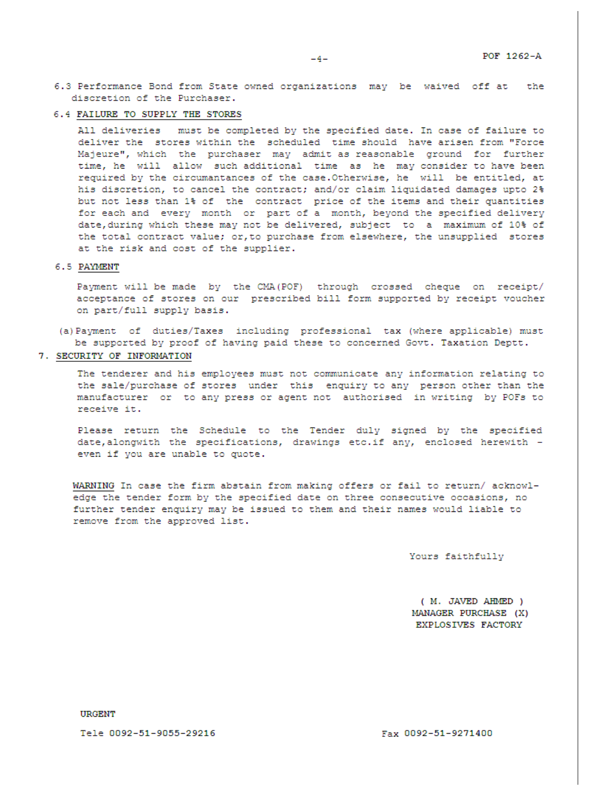6.4 FAILURE TO SUPPLY THE STORES

All deliveries must be completed by the specified date. In case of failure to deliver the stores within the scheduled time should have arisen from "Force Majeure", which the purchaser may admit as reasonable ground for further time, he will allow such additional time as he may consider to have been required by the circumantances of the case. Otherwise, he will be entitled, at his discretion, to cancel the contract; and/or claim liquidated damages upto 2% but not less than 1% of the contract price of the items and their quantities for each and every month or part of a month, beyond the specified delivery date, during which these may not be delivered, subject to a maximum of 10% of the total contract value; or, to purchase from elsewhere, the unsupplied stores at the risk and cost of the supplier.

#### 6.5 PAYMENT

Payment will be made by the CMA (POF) through crossed cheque on receipt/ acceptance of stores on our prescribed bill form supported by receipt voucher on part/full supply basis.

- (a) Payment of duties/Taxes including professional tax (where applicable) must be supported by proof of having paid these to concerned Govt. Taxation Deptt.
- 7. SECURITY OF INFORMATION

The tenderer and his employees must not communicate any information relating to the sale/purchase of stores under this enquiry to any person other than the manufacturer or to any press or agent not authorised in writing by POFs to receive it.

Please return the Schedule to the Tender duly signed by the specified date, alongwith the specifications, drawings etc.if any, enclosed herewith even if you are unable to quote.

WARNING In case the firm abstain from making offers or fail to return/ acknowledge the tender form by the specified date on three consecutive occasions, no further tender enquiry may be issued to them and their names would liable to remove from the approved list.

Yours faithfully

( M. JAVED AHMED ) MANAGER PURCHASE (X) EXPLOSIVES FACTORY

**URGENT** 

Tele 0092-51-9055-29216